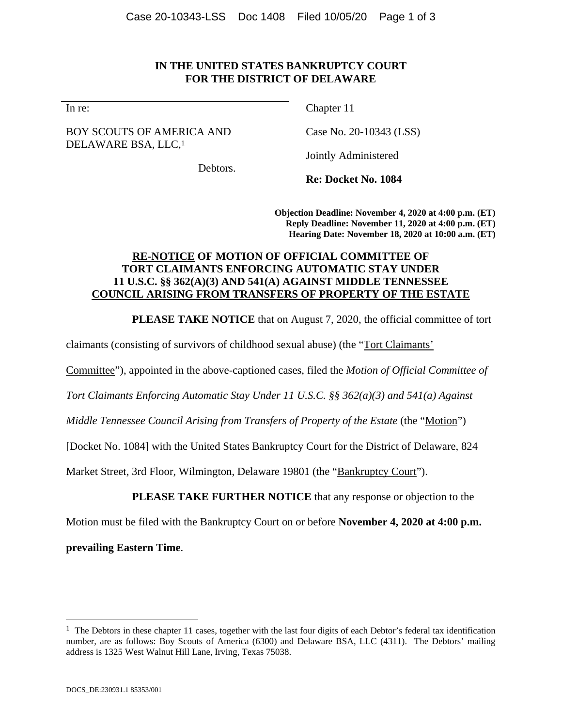## **IN THE UNITED STATES BANKRUPTCY COURT FOR THE DISTRICT OF DELAWARE**

In re:

## BOY SCOUTS OF AMERICA AND DELAWARE BSA, LLC,1

Debtors.

Chapter 11

Case No. 20-10343 (LSS)

Jointly Administered

**Re: Docket No. 1084** 

**Objection Deadline: November 4, 2020 at 4:00 p.m. (ET) Reply Deadline: November 11, 2020 at 4:00 p.m. (ET) Hearing Date: November 18, 2020 at 10:00 a.m. (ET)** 

### **RE-NOTICE OF MOTION OF OFFICIAL COMMITTEE OF TORT CLAIMANTS ENFORCING AUTOMATIC STAY UNDER 11 U.S.C. §§ 362(A)(3) AND 541(A) AGAINST MIDDLE TENNESSEE COUNCIL ARISING FROM TRANSFERS OF PROPERTY OF THE ESTATE**

**PLEASE TAKE NOTICE** that on August 7, 2020, the official committee of tort

claimants (consisting of survivors of childhood sexual abuse) (the "Tort Claimants'

Committee"), appointed in the above-captioned cases, filed the *Motion of Official Committee of* 

*Tort Claimants Enforcing Automatic Stay Under 11 U.S.C. §§ 362(a)(3) and 541(a) Against* 

*Middle Tennessee Council Arising from Transfers of Property of the Estate (the "Motion")* 

[Docket No. 1084] with the United States Bankruptcy Court for the District of Delaware, 824

Market Street, 3rd Floor, Wilmington, Delaware 19801 (the "Bankruptcy Court").

**PLEASE TAKE FURTHER NOTICE** that any response or objection to the

Motion must be filed with the Bankruptcy Court on or before **November 4, 2020 at 4:00 p.m.** 

**prevailing Eastern Time**.

 $\overline{a}$ 

 $1$  The Debtors in these chapter 11 cases, together with the last four digits of each Debtor's federal tax identification number, are as follows: Boy Scouts of America (6300) and Delaware BSA, LLC (4311). The Debtors' mailing address is 1325 West Walnut Hill Lane, Irving, Texas 75038.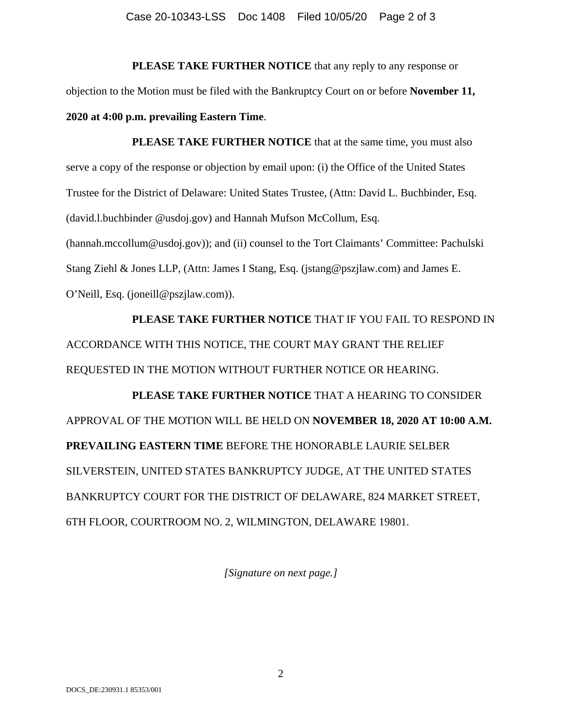#### Case 20-10343-LSS Doc 1408 Filed 10/05/20 Page 2 of 3

**PLEASE TAKE FURTHER NOTICE** that any reply to any response or objection to the Motion must be filed with the Bankruptcy Court on or before **November 11, 2020 at 4:00 p.m. prevailing Eastern Time**.

**PLEASE TAKE FURTHER NOTICE** that at the same time, you must also serve a copy of the response or objection by email upon: (i) the Office of the United States Trustee for the District of Delaware: United States Trustee, (Attn: David L. Buchbinder, Esq. (david.l.buchbinder @usdoj.gov) and Hannah Mufson McCollum, Esq. (hannah.mccollum@usdoj.gov)); and (ii) counsel to the Tort Claimants' Committee: Pachulski Stang Ziehl & Jones LLP, (Attn: James I Stang, Esq. (jstang@pszjlaw.com) and James E. O'Neill, Esq. (joneill@pszjlaw.com)).

**PLEASE TAKE FURTHER NOTICE** THAT IF YOU FAIL TO RESPOND IN ACCORDANCE WITH THIS NOTICE, THE COURT MAY GRANT THE RELIEF REQUESTED IN THE MOTION WITHOUT FURTHER NOTICE OR HEARING.

**PLEASE TAKE FURTHER NOTICE** THAT A HEARING TO CONSIDER APPROVAL OF THE MOTION WILL BE HELD ON **NOVEMBER 18, 2020 AT 10:00 A.M. PREVAILING EASTERN TIME** BEFORE THE HONORABLE LAURIE SELBER SILVERSTEIN, UNITED STATES BANKRUPTCY JUDGE, AT THE UNITED STATES BANKRUPTCY COURT FOR THE DISTRICT OF DELAWARE, 824 MARKET STREET, 6TH FLOOR, COURTROOM NO. 2, WILMINGTON, DELAWARE 19801.

*[Signature on next page.]*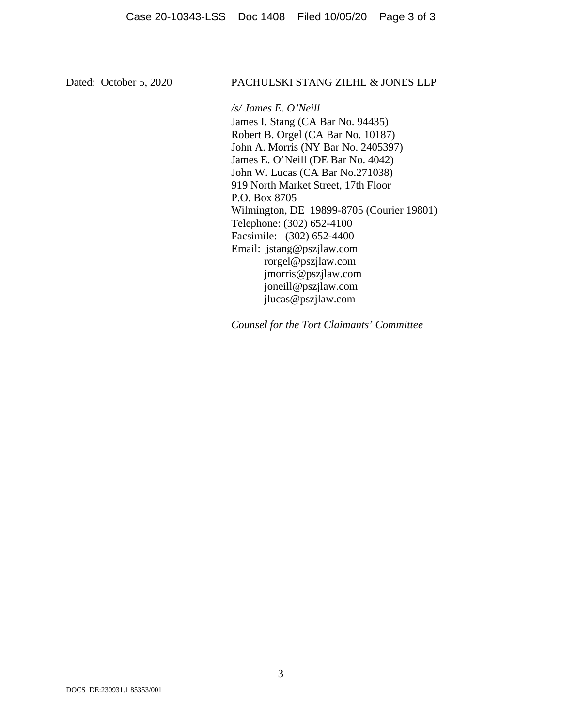### Dated: October 5, 2020 PACHULSKI STANG ZIEHL & JONES LLP

*/s/ James E. O'Neill* 

James I. Stang (CA Bar No. 94435) Robert B. Orgel (CA Bar No. 10187) John A. Morris (NY Bar No. 2405397) James E. O'Neill (DE Bar No. 4042) John W. Lucas (CA Bar No.271038) 919 North Market Street, 17th Floor P.O. Box 8705 Wilmington, DE 19899-8705 (Courier 19801) Telephone: (302) 652-4100 Facsimile: (302) 652-4400 Email: jstang@pszjlaw.com rorgel@pszjlaw.com jmorris@pszjlaw.com joneill@pszjlaw.com jlucas@pszjlaw.com

*Counsel for the Tort Claimants' Committee*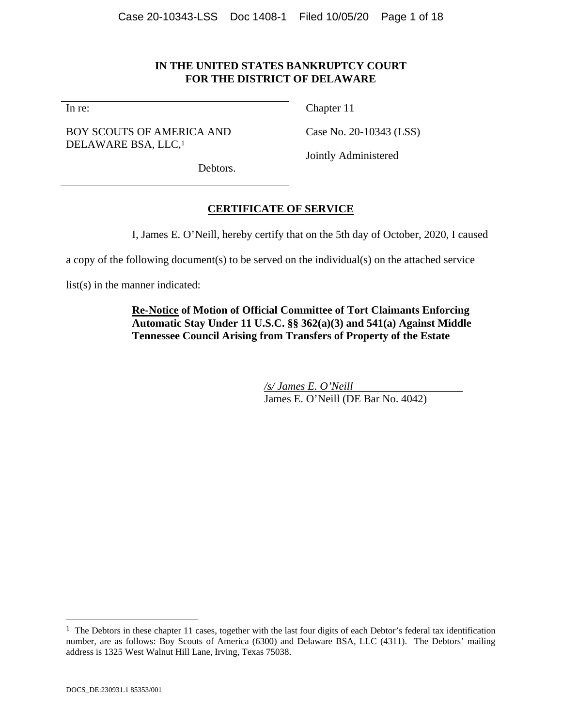## **IN THE UNITED STATES BANKRUPTCY COURT FOR THE DISTRICT OF DELAWARE**

In re:

BOY SCOUTS OF AMERICA AND DELAWARE BSA, LLC,<sup>1</sup>

Chapter 11

Case No. 20-10343 (LSS)

Jointly Administered

Debtors.

# **CERTIFICATE OF SERVICE**

I, James E. O'Neill, hereby certify that on the 5th day of October, 2020, I caused

a copy of the following document(s) to be served on the individual(s) on the attached service

list(s) in the manner indicated:

# **Re-Notice of Motion of Official Committee of Tort Claimants Enforcing Automatic Stay Under 11 U.S.C. §§ 362(a)(3) and 541(a) Against Middle Tennessee Council Arising from Transfers of Property of the Estate**

*/s/ James E. O'Neill*  James E. O'Neill (DE Bar No. 4042)

 $\overline{a}$ 

 $1$  The Debtors in these chapter 11 cases, together with the last four digits of each Debtor's federal tax identification number, are as follows: Boy Scouts of America (6300) and Delaware BSA, LLC (4311). The Debtors' mailing address is 1325 West Walnut Hill Lane, Irving, Texas 75038.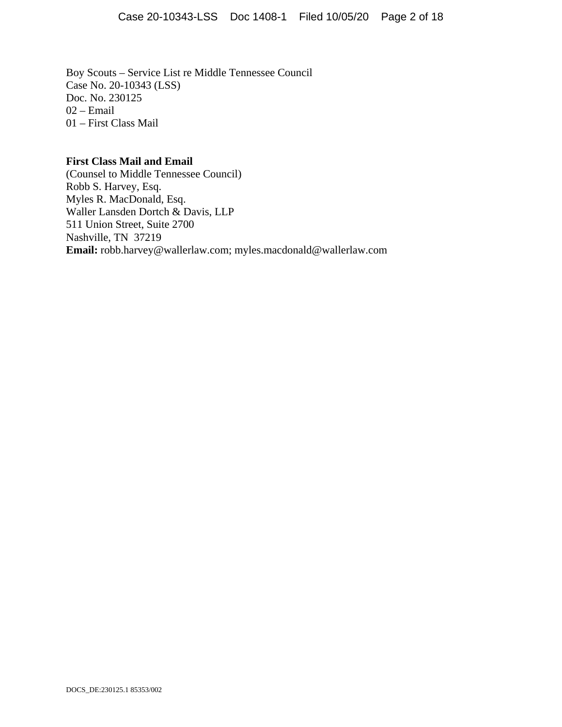Boy Scouts – Service List re Middle Tennessee Council Case No. 20-10343 (LSS) Doc. No. 230125 02 – Email 01 – First Class Mail

#### **First Class Mail and Email**

(Counsel to Middle Tennessee Council) Robb S. Harvey, Esq. Myles R. MacDonald, Esq. Waller Lansden Dortch & Davis, LLP 511 Union Street, Suite 2700 Nashville, TN 37219 **Email:** robb.harvey@wallerlaw.com; myles.macdonald@wallerlaw.com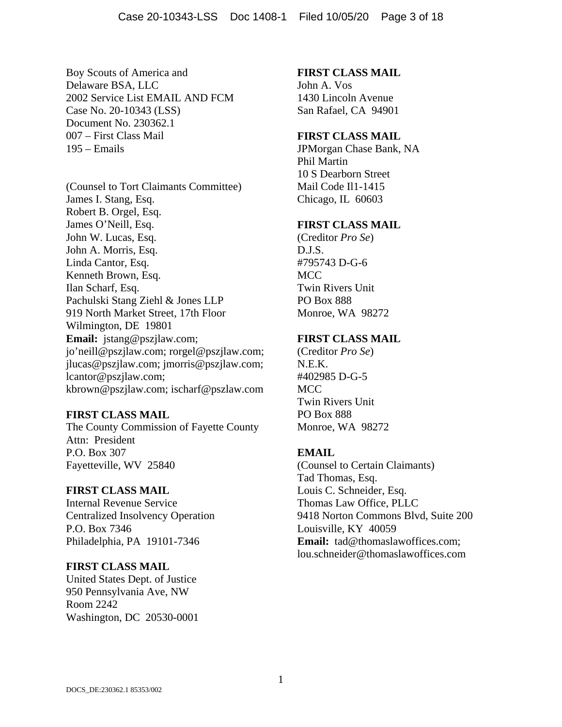Boy Scouts of America and Delaware BSA, LLC 2002 Service List EMAIL AND FCM Case No. 20-10343 (LSS) Document No. 230362.1 007 – First Class Mail 195 – Emails

(Counsel to Tort Claimants Committee) James I. Stang, Esq. Robert B. Orgel, Esq. James O'Neill, Esq. John W. Lucas, Esq. John A. Morris, Esq. Linda Cantor, Esq. Kenneth Brown, Esq. Ilan Scharf, Esq. Pachulski Stang Ziehl & Jones LLP 919 North Market Street, 17th Floor Wilmington, DE 19801 **Email:** jstang@pszjlaw.com; jo'neill@pszjlaw.com; rorgel@pszjlaw.com; jlucas@pszjlaw.com; jmorris@pszjlaw.com; lcantor@pszjlaw.com; kbrown@pszjlaw.com; ischarf@pszlaw.com

### **FIRST CLASS MAIL**

The County Commission of Fayette County Attn: President P.O. Box 307 Fayetteville, WV 25840

### **FIRST CLASS MAIL**

Internal Revenue Service Centralized Insolvency Operation P.O. Box 7346 Philadelphia, PA 19101-7346

### **FIRST CLASS MAIL**

United States Dept. of Justice 950 Pennsylvania Ave, NW Room 2242 Washington, DC 20530-0001

#### **FIRST CLASS MAIL**

John A. Vos 1430 Lincoln Avenue San Rafael, CA 94901

#### **FIRST CLASS MAIL**

JPMorgan Chase Bank, NA Phil Martin 10 S Dearborn Street Mail Code Il1-1415 Chicago, IL 60603

#### **FIRST CLASS MAIL**

(Creditor *Pro Se*) D.J.S. #795743 D-G-6 MCC Twin Rivers Unit PO Box 888 Monroe, WA 98272

### **FIRST CLASS MAIL**

(Creditor *Pro Se*) N.E.K. #402985 D-G-5 MCC Twin Rivers Unit PO Box 888 Monroe, WA 98272

### **EMAIL**

(Counsel to Certain Claimants) Tad Thomas, Esq. Louis C. Schneider, Esq. Thomas Law Office, PLLC 9418 Norton Commons Blvd, Suite 200 Louisville, KY 40059 **Email:** tad@thomaslawoffices.com; lou.schneider@thomaslawoffices.com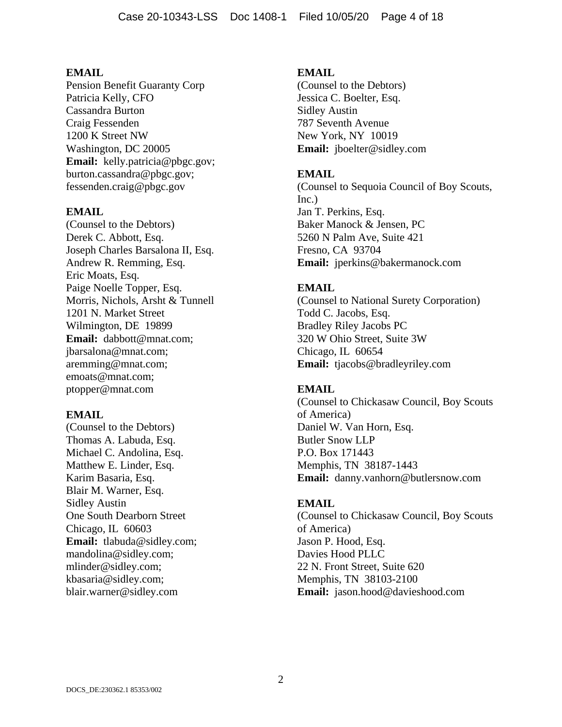Pension Benefit Guaranty Corp Patricia Kelly, CFO Cassandra Burton Craig Fessenden 1200 K Street NW Washington, DC 20005 **Email:** kelly.patricia@pbgc.gov; burton.cassandra@pbgc.gov; fessenden.craig@pbgc.gov

#### **EMAIL**

(Counsel to the Debtors) Derek C. Abbott, Esq. Joseph Charles Barsalona II, Esq. Andrew R. Remming, Esq. Eric Moats, Esq. Paige Noelle Topper, Esq. Morris, Nichols, Arsht & Tunnell 1201 N. Market Street Wilmington, DE 19899 **Email:** dabbott@mnat.com; jbarsalona@mnat.com; aremming@mnat.com; emoats@mnat.com; ptopper@mnat.com

#### **EMAIL**

(Counsel to the Debtors) Thomas A. Labuda, Esq. Michael C. Andolina, Esq. Matthew E. Linder, Esq. Karim Basaria, Esq. Blair M. Warner, Esq. Sidley Austin One South Dearborn Street Chicago, IL 60603 **Email:** tlabuda@sidley.com; mandolina@sidley.com; mlinder@sidley.com; kbasaria@sidley.com; blair.warner@sidley.com

#### **EMAIL**

(Counsel to the Debtors) Jessica C. Boelter, Esq. Sidley Austin 787 Seventh Avenue New York, NY 10019 **Email:** jboelter@sidley.com

#### **EMAIL**

(Counsel to Sequoia Council of Boy Scouts, Inc.) Jan T. Perkins, Esq. Baker Manock & Jensen, PC 5260 N Palm Ave, Suite 421 Fresno, CA 93704 **Email:** jperkins@bakermanock.com

### **EMAIL**

(Counsel to National Surety Corporation) Todd C. Jacobs, Esq. Bradley Riley Jacobs PC 320 W Ohio Street, Suite 3W Chicago, IL 60654 **Email:** tjacobs@bradleyriley.com

### **EMAIL**

(Counsel to Chickasaw Council, Boy Scouts of America) Daniel W. Van Horn, Esq. Butler Snow LLP P.O. Box 171443 Memphis, TN 38187-1443 **Email:** danny.vanhorn@butlersnow.com

#### **EMAIL**

(Counsel to Chickasaw Council, Boy Scouts of America) Jason P. Hood, Esq. Davies Hood PLLC 22 N. Front Street, Suite 620 Memphis, TN 38103-2100 **Email:** jason.hood@davieshood.com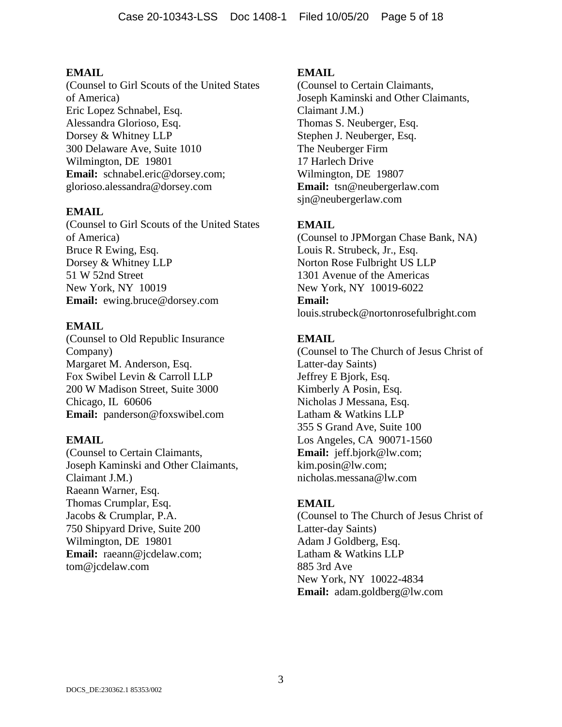(Counsel to Girl Scouts of the United States of America) Eric Lopez Schnabel, Esq. Alessandra Glorioso, Esq. Dorsey & Whitney LLP 300 Delaware Ave, Suite 1010 Wilmington, DE 19801 **Email:** schnabel.eric@dorsey.com; glorioso.alessandra@dorsey.com

## **EMAIL**

(Counsel to Girl Scouts of the United States of America) Bruce R Ewing, Esq. Dorsey & Whitney LLP 51 W 52nd Street New York, NY 10019 **Email:** ewing.bruce@dorsey.com

## **EMAIL**

(Counsel to Old Republic Insurance Company) Margaret M. Anderson, Esq. Fox Swibel Levin & Carroll LLP 200 W Madison Street, Suite 3000 Chicago, IL 60606 **Email:** panderson@foxswibel.com

### **EMAIL**

(Counsel to Certain Claimants, Joseph Kaminski and Other Claimants, Claimant J.M.) Raeann Warner, Esq. Thomas Crumplar, Esq. Jacobs & Crumplar, P.A. 750 Shipyard Drive, Suite 200 Wilmington, DE 19801 **Email:** raeann@jcdelaw.com; tom@jcdelaw.com

## **EMAIL**

(Counsel to Certain Claimants, Joseph Kaminski and Other Claimants, Claimant J.M.) Thomas S. Neuberger, Esq. Stephen J. Neuberger, Esq. The Neuberger Firm 17 Harlech Drive Wilmington, DE 19807 **Email:** tsn@neubergerlaw.com sjn@neubergerlaw.com

# **EMAIL**

(Counsel to JPMorgan Chase Bank, NA) Louis R. Strubeck, Jr., Esq. Norton Rose Fulbright US LLP 1301 Avenue of the Americas New York, NY 10019-6022 **Email:** louis.strubeck@nortonrosefulbright.com

# **EMAIL**

(Counsel to The Church of Jesus Christ of Latter-day Saints) Jeffrey E Bjork, Esq. Kimberly A Posin, Esq. Nicholas J Messana, Esq. Latham & Watkins LLP 355 S Grand Ave, Suite 100 Los Angeles, CA 90071-1560 **Email:** jeff.bjork@lw.com; kim.posin@lw.com; nicholas.messana@lw.com

# **EMAIL**

(Counsel to The Church of Jesus Christ of Latter-day Saints) Adam J Goldberg, Esq. Latham & Watkins LLP 885 3rd Ave New York, NY 10022-4834 **Email:** adam.goldberg@lw.com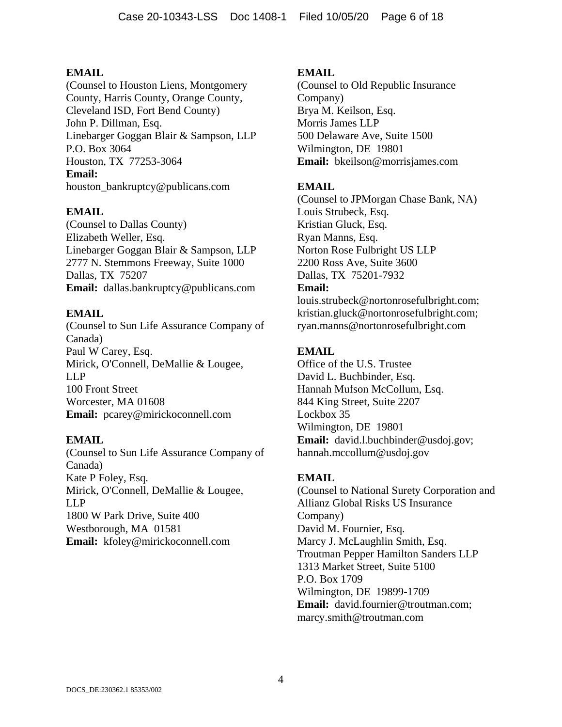(Counsel to Houston Liens, Montgomery County, Harris County, Orange County, Cleveland ISD, Fort Bend County) John P. Dillman, Esq. Linebarger Goggan Blair & Sampson, LLP P.O. Box 3064 Houston, TX 77253-3064 **Email:** houston\_bankruptcy@publicans.com

# **EMAIL**

(Counsel to Dallas County) Elizabeth Weller, Esq. Linebarger Goggan Blair & Sampson, LLP 2777 N. Stemmons Freeway, Suite 1000 Dallas, TX 75207 **Email:** dallas.bankruptcy@publicans.com

## **EMAIL**

(Counsel to Sun Life Assurance Company of Canada) Paul W Carey, Esq. Mirick, O'Connell, DeMallie & Lougee, LLP 100 Front Street Worcester, MA 01608 **Email:** pcarey@mirickoconnell.com

### **EMAIL**

(Counsel to Sun Life Assurance Company of Canada) Kate P Foley, Esq. Mirick, O'Connell, DeMallie & Lougee, LLP 1800 W Park Drive, Suite 400 Westborough, MA 01581 **Email:** kfoley@mirickoconnell.com

### **EMAIL**

(Counsel to Old Republic Insurance Company) Brya M. Keilson, Esq. Morris James LLP 500 Delaware Ave, Suite 1500 Wilmington, DE 19801 **Email:** bkeilson@morrisjames.com

## **EMAIL**

(Counsel to JPMorgan Chase Bank, NA) Louis Strubeck, Esq. Kristian Gluck, Esq. Ryan Manns, Esq. Norton Rose Fulbright US LLP 2200 Ross Ave, Suite 3600 Dallas, TX 75201-7932 **Email:**

louis.strubeck@nortonrosefulbright.com; kristian.gluck@nortonrosefulbright.com; ryan.manns@nortonrosefulbright.com

# **EMAIL**

Office of the U.S. Trustee David L. Buchbinder, Esq. Hannah Mufson McCollum, Esq. 844 King Street, Suite 2207 Lockbox 35 Wilmington, DE 19801 **Email:** david.l.buchbinder@usdoj.gov; hannah.mccollum@usdoj.gov

### **EMAIL**

(Counsel to National Surety Corporation and Allianz Global Risks US Insurance Company) David M. Fournier, Esq. Marcy J. McLaughlin Smith, Esq. Troutman Pepper Hamilton Sanders LLP 1313 Market Street, Suite 5100 P.O. Box 1709 Wilmington, DE 19899-1709 **Email:** david.fournier@troutman.com; marcy.smith@troutman.com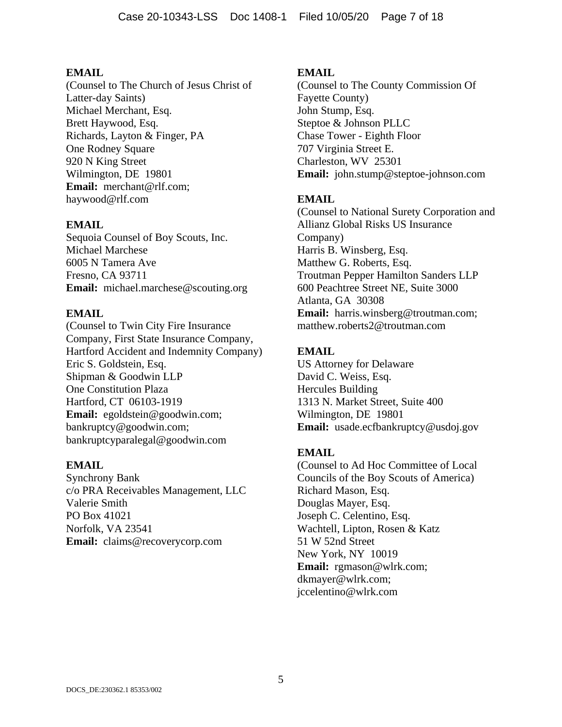(Counsel to The Church of Jesus Christ of Latter-day Saints) Michael Merchant, Esq. Brett Haywood, Esq. Richards, Layton & Finger, PA One Rodney Square 920 N King Street Wilmington, DE 19801 **Email:** merchant@rlf.com; haywood@rlf.com

## **EMAIL**

Sequoia Counsel of Boy Scouts, Inc. Michael Marchese 6005 N Tamera Ave Fresno, CA 93711 **Email:** michael.marchese@scouting.org

### **EMAIL**

(Counsel to Twin City Fire Insurance Company, First State Insurance Company, Hartford Accident and Indemnity Company) Eric S. Goldstein, Esq. Shipman & Goodwin LLP One Constitution Plaza Hartford, CT 06103-1919 **Email:** egoldstein@goodwin.com; bankruptcy@goodwin.com; bankruptcyparalegal@goodwin.com

### **EMAIL**

Synchrony Bank c/o PRA Receivables Management, LLC Valerie Smith PO Box 41021 Norfolk, VA 23541 **Email:** claims@recoverycorp.com

#### **EMAIL**

(Counsel to The County Commission Of Fayette County) John Stump, Esq. Steptoe & Johnson PLLC Chase Tower - Eighth Floor 707 Virginia Street E. Charleston, WV 25301 **Email:** john.stump@steptoe-johnson.com

### **EMAIL**

(Counsel to National Surety Corporation and Allianz Global Risks US Insurance Company) Harris B. Winsberg, Esq. Matthew G. Roberts, Esq. Troutman Pepper Hamilton Sanders LLP 600 Peachtree Street NE, Suite 3000 Atlanta, GA 30308 **Email:** harris.winsberg@troutman.com; matthew.roberts2@troutman.com

### **EMAIL**

US Attorney for Delaware David C. Weiss, Esq. Hercules Building 1313 N. Market Street, Suite 400 Wilmington, DE 19801 **Email:** usade.ecfbankruptcy@usdoj.gov

### **EMAIL**

(Counsel to Ad Hoc Committee of Local Councils of the Boy Scouts of America) Richard Mason, Esq. Douglas Mayer, Esq. Joseph C. Celentino, Esq. Wachtell, Lipton, Rosen & Katz 51 W 52nd Street New York, NY 10019 **Email:** rgmason@wlrk.com; dkmayer@wlrk.com; jccelentino@wlrk.com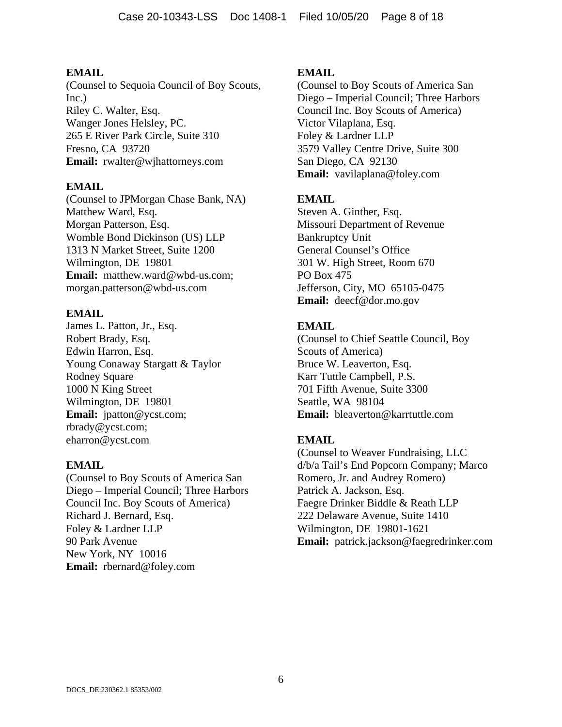(Counsel to Sequoia Council of Boy Scouts, Inc.) Riley C. Walter, Esq. Wanger Jones Helsley, PC. 265 E River Park Circle, Suite 310 Fresno, CA 93720 **Email:** rwalter@wjhattorneys.com

### **EMAIL**

(Counsel to JPMorgan Chase Bank, NA) Matthew Ward, Esq. Morgan Patterson, Esq. Womble Bond Dickinson (US) LLP 1313 N Market Street, Suite 1200 Wilmington, DE 19801 **Email:** matthew.ward@wbd-us.com; morgan.patterson@wbd-us.com

## **EMAIL**

James L. Patton, Jr., Esq. Robert Brady, Esq. Edwin Harron, Esq. Young Conaway Stargatt & Taylor Rodney Square 1000 N King Street Wilmington, DE 19801 **Email:** jpatton@ycst.com; rbrady@ycst.com; eharron@ycst.com

### **EMAIL**

(Counsel to Boy Scouts of America San Diego – Imperial Council; Three Harbors Council Inc. Boy Scouts of America) Richard J. Bernard, Esq. Foley & Lardner LLP 90 Park Avenue New York, NY 10016 **Email:** rbernard@foley.com

## **EMAIL**

(Counsel to Boy Scouts of America San Diego – Imperial Council; Three Harbors Council Inc. Boy Scouts of America) Victor Vilaplana, Esq. Foley & Lardner LLP 3579 Valley Centre Drive, Suite 300 San Diego, CA 92130 **Email:** vavilaplana@foley.com

# **EMAIL**

Steven A. Ginther, Esq. Missouri Department of Revenue Bankruptcy Unit General Counsel's Office 301 W. High Street, Room 670 PO Box 475 Jefferson, City, MO 65105-0475 **Email:** deecf@dor.mo.gov

# **EMAIL**

(Counsel to Chief Seattle Council, Boy Scouts of America) Bruce W. Leaverton, Esq. Karr Tuttle Campbell, P.S. 701 Fifth Avenue, Suite 3300 Seattle, WA 98104 **Email:** bleaverton@karrtuttle.com

# **EMAIL**

(Counsel to Weaver Fundraising, LLC d/b/a Tail's End Popcorn Company; Marco Romero, Jr. and Audrey Romero) Patrick A. Jackson, Esq. Faegre Drinker Biddle & Reath LLP 222 Delaware Avenue, Suite 1410 Wilmington, DE 19801-1621 **Email:** patrick.jackson@faegredrinker.com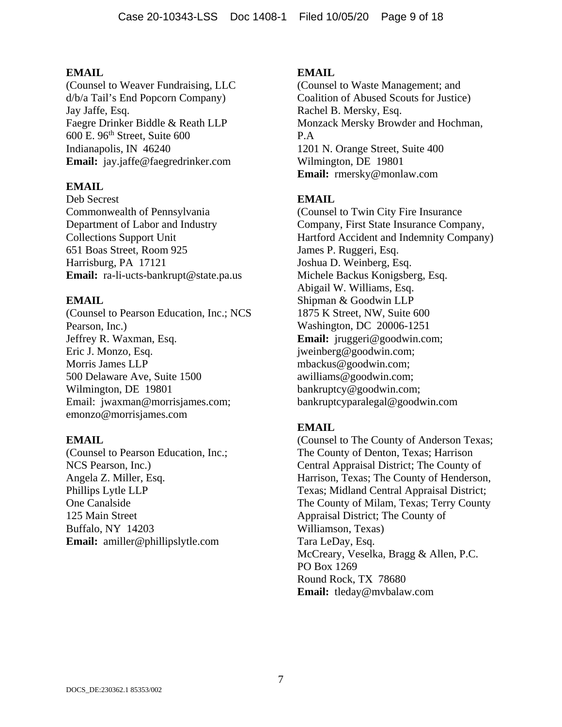(Counsel to Weaver Fundraising, LLC d/b/a Tail's End Popcorn Company) Jay Jaffe, Esq. Faegre Drinker Biddle & Reath LLP 600 E. 96th Street, Suite 600 Indianapolis, IN 46240 **Email:** jay.jaffe@faegredrinker.com

## **EMAIL**

Deb Secrest Commonwealth of Pennsylvania Department of Labor and Industry Collections Support Unit 651 Boas Street, Room 925 Harrisburg, PA 17121 **Email:** ra-li-ucts-bankrupt@state.pa.us

## **EMAIL**

(Counsel to Pearson Education, Inc.; NCS Pearson, Inc.) Jeffrey R. Waxman, Esq. Eric J. Monzo, Esq. Morris James LLP 500 Delaware Ave, Suite 1500 Wilmington, DE 19801 Email: jwaxman@morrisjames.com; emonzo@morrisjames.com

### **EMAIL**

(Counsel to Pearson Education, Inc.; NCS Pearson, Inc.) Angela Z. Miller, Esq. Phillips Lytle LLP One Canalside 125 Main Street Buffalo, NY 14203 **Email:** amiller@phillipslytle.com

## **EMAIL**

(Counsel to Waste Management; and Coalition of Abused Scouts for Justice) Rachel B. Mersky, Esq. Monzack Mersky Browder and Hochman, P.A 1201 N. Orange Street, Suite 400 Wilmington, DE 19801 **Email:** rmersky@monlaw.com

# **EMAIL**

(Counsel to Twin City Fire Insurance Company, First State Insurance Company, Hartford Accident and Indemnity Company) James P. Ruggeri, Esq. Joshua D. Weinberg, Esq. Michele Backus Konigsberg, Esq. Abigail W. Williams, Esq. Shipman & Goodwin LLP 1875 K Street, NW, Suite 600 Washington, DC 20006-1251 **Email:** jruggeri@goodwin.com; jweinberg@goodwin.com; mbackus@goodwin.com; awilliams@goodwin.com; bankruptcy@goodwin.com; bankruptcyparalegal@goodwin.com

# **EMAIL**

(Counsel to The County of Anderson Texas; The County of Denton, Texas; Harrison Central Appraisal District; The County of Harrison, Texas; The County of Henderson, Texas; Midland Central Appraisal District; The County of Milam, Texas; Terry County Appraisal District; The County of Williamson, Texas) Tara LeDay, Esq. McCreary, Veselka, Bragg & Allen, P.C. PO Box 1269 Round Rock, TX 78680 **Email:** tleday@mvbalaw.com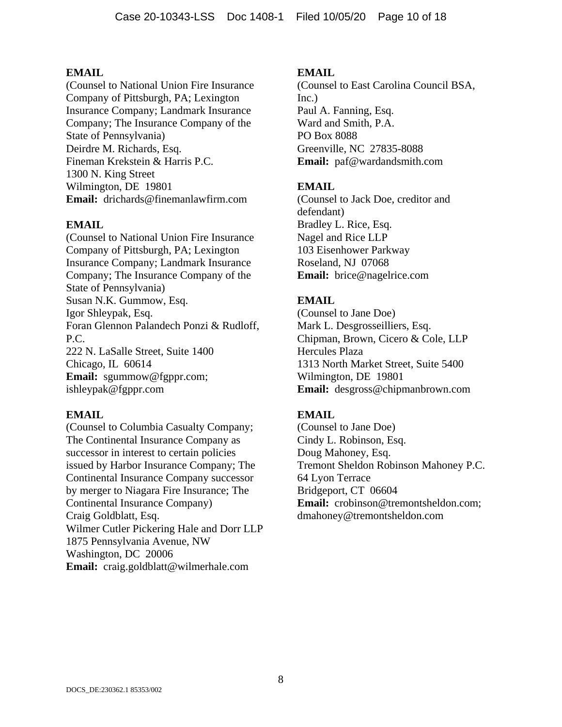(Counsel to National Union Fire Insurance Company of Pittsburgh, PA; Lexington Insurance Company; Landmark Insurance Company; The Insurance Company of the State of Pennsylvania) Deirdre M. Richards, Esq. Fineman Krekstein & Harris P.C. 1300 N. King Street Wilmington, DE 19801 **Email:** drichards@finemanlawfirm.com

## **EMAIL**

(Counsel to National Union Fire Insurance Company of Pittsburgh, PA; Lexington Insurance Company; Landmark Insurance Company; The Insurance Company of the State of Pennsylvania) Susan N.K. Gummow, Esq. Igor Shleypak, Esq. Foran Glennon Palandech Ponzi & Rudloff, P.C. 222 N. LaSalle Street, Suite 1400 Chicago, IL 60614 **Email:** sgummow@fgppr.com; ishleypak@fgppr.com

### **EMAIL**

(Counsel to Columbia Casualty Company; The Continental Insurance Company as successor in interest to certain policies issued by Harbor Insurance Company; The Continental Insurance Company successor by merger to Niagara Fire Insurance; The Continental Insurance Company) Craig Goldblatt, Esq. Wilmer Cutler Pickering Hale and Dorr LLP 1875 Pennsylvania Avenue, NW Washington, DC 20006 **Email:** craig.goldblatt@wilmerhale.com

## **EMAIL**

(Counsel to East Carolina Council BSA, Inc.) Paul A. Fanning, Esq. Ward and Smith, P.A. PO Box 8088 Greenville, NC 27835-8088 **Email:** paf@wardandsmith.com

# **EMAIL**

(Counsel to Jack Doe, creditor and defendant) Bradley L. Rice, Esq. Nagel and Rice LLP 103 Eisenhower Parkway Roseland, NJ 07068 **Email:** brice@nagelrice.com

# **EMAIL**

(Counsel to Jane Doe) Mark L. Desgrosseilliers, Esq. Chipman, Brown, Cicero & Cole, LLP Hercules Plaza 1313 North Market Street, Suite 5400 Wilmington, DE 19801 **Email:** desgross@chipmanbrown.com

# **EMAIL**

(Counsel to Jane Doe) Cindy L. Robinson, Esq. Doug Mahoney, Esq. Tremont Sheldon Robinson Mahoney P.C. 64 Lyon Terrace Bridgeport, CT 06604 **Email:** crobinson@tremontsheldon.com; dmahoney@tremontsheldon.com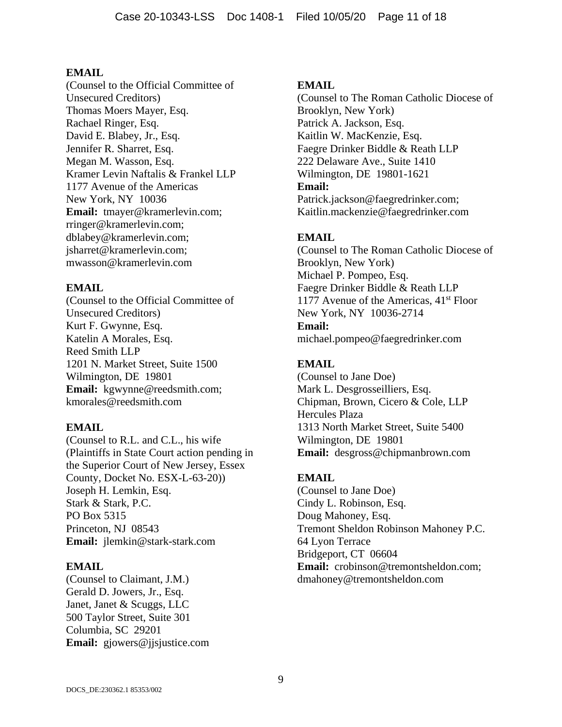(Counsel to the Official Committee of Unsecured Creditors) Thomas Moers Mayer, Esq. Rachael Ringer, Esq. David E. Blabey, Jr., Esq. Jennifer R. Sharret, Esq. Megan M. Wasson, Esq. Kramer Levin Naftalis & Frankel LLP 1177 Avenue of the Americas New York, NY 10036 **Email:** tmayer@kramerlevin.com; rringer@kramerlevin.com; dblabey@kramerlevin.com; jsharret@kramerlevin.com; mwasson@kramerlevin.com

## **EMAIL**

(Counsel to the Official Committee of Unsecured Creditors) Kurt F. Gwynne, Esq. Katelin A Morales, Esq. Reed Smith LLP 1201 N. Market Street, Suite 1500 Wilmington, DE 19801 **Email:** kgwynne@reedsmith.com; kmorales@reedsmith.com

### **EMAIL**

(Counsel to R.L. and C.L., his wife (Plaintiffs in State Court action pending in the Superior Court of New Jersey, Essex County, Docket No. ESX-L-63-20)) Joseph H. Lemkin, Esq. Stark & Stark, P.C. PO Box 5315 Princeton, NJ 08543 **Email:** jlemkin@stark-stark.com

### **EMAIL**

(Counsel to Claimant, J.M.) Gerald D. Jowers, Jr., Esq. Janet, Janet & Scuggs, LLC 500 Taylor Street, Suite 301 Columbia, SC 29201 **Email:** gjowers@jjsjustice.com

## **EMAIL**

(Counsel to The Roman Catholic Diocese of Brooklyn, New York) Patrick A. Jackson, Esq. Kaitlin W. MacKenzie, Esq. Faegre Drinker Biddle & Reath LLP 222 Delaware Ave., Suite 1410 Wilmington, DE 19801-1621 **Email:** Patrick.jackson@faegredrinker.com; Kaitlin.mackenzie@faegredrinker.com

# **EMAIL**

(Counsel to The Roman Catholic Diocese of Brooklyn, New York) Michael P. Pompeo, Esq. Faegre Drinker Biddle & Reath LLP 1177 Avenue of the Americas,  $41<sup>st</sup>$  Floor New York, NY 10036-2714 **Email:** michael.pompeo@faegredrinker.com

# **EMAIL**

(Counsel to Jane Doe) Mark L. Desgrosseilliers, Esq. Chipman, Brown, Cicero & Cole, LLP Hercules Plaza 1313 North Market Street, Suite 5400 Wilmington, DE 19801 **Email:** desgross@chipmanbrown.com

# **EMAIL**

(Counsel to Jane Doe) Cindy L. Robinson, Esq. Doug Mahoney, Esq. Tremont Sheldon Robinson Mahoney P.C. 64 Lyon Terrace Bridgeport, CT 06604 **Email:** crobinson@tremontsheldon.com: dmahoney@tremontsheldon.com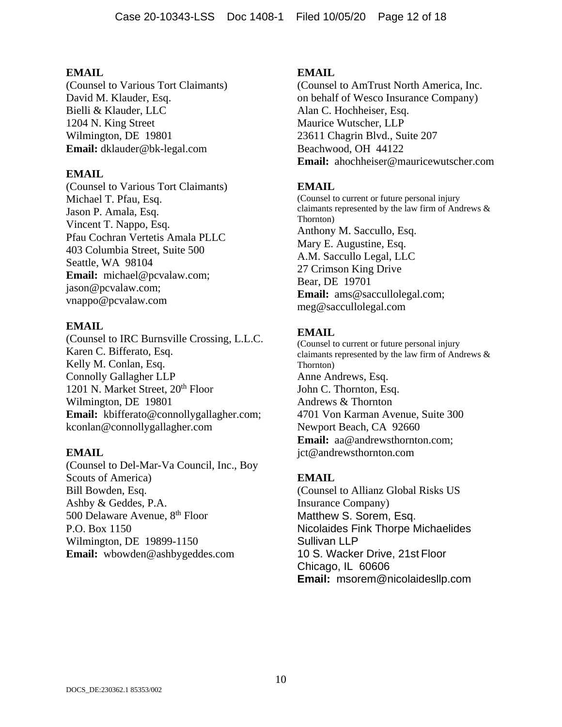(Counsel to Various Tort Claimants) David M. Klauder, Esq. Bielli & Klauder, LLC 1204 N. King Street Wilmington, DE 19801 **Email:** dklauder@bk-legal.com

### **EMAIL**

(Counsel to Various Tort Claimants) Michael T. Pfau, Esq. Jason P. Amala, Esq. Vincent T. Nappo, Esq. Pfau Cochran Vertetis Amala PLLC 403 Columbia Street, Suite 500 Seattle, WA 98104 **Email:** michael@pcvalaw.com; jason@pcvalaw.com; vnappo@pcvalaw.com

### **EMAIL**

(Counsel to IRC Burnsville Crossing, L.L.C. Karen C. Bifferato, Esq. Kelly M. Conlan, Esq. Connolly Gallagher LLP 1201 N. Market Street, 20<sup>th</sup> Floor Wilmington, DE 19801 **Email:** kbifferato@connollygallagher.com; kconlan@connollygallagher.com

### **EMAIL**

(Counsel to Del-Mar-Va Council, Inc., Boy Scouts of America) Bill Bowden, Esq. Ashby & Geddes, P.A. 500 Delaware Avenue, 8<sup>th</sup> Floor P.O. Box 1150 Wilmington, DE 19899-1150 **Email:** wbowden@ashbygeddes.com

### **EMAIL**

(Counsel to AmTrust North America, Inc. on behalf of Wesco Insurance Company) Alan C. Hochheiser, Esq. Maurice Wutscher, LLP 23611 Chagrin Blvd., Suite 207 Beachwood, OH 44122 **Email:** ahochheiser@mauricewutscher.com

### **EMAIL**

(Counsel to current or future personal injury claimants represented by the law firm of Andrews & Thornton) Anthony M. Saccullo, Esq. Mary E. Augustine, Esq. A.M. Saccullo Legal, LLC 27 Crimson King Drive Bear, DE 19701 **Email:** ams@saccullolegal.com; meg@saccullolegal.com

## **EMAIL**

(Counsel to current or future personal injury claimants represented by the law firm of Andrews & Thornton) Anne Andrews, Esq. John C. Thornton, Esq. Andrews & Thornton 4701 Von Karman Avenue, Suite 300 Newport Beach, CA 92660 **Email:** aa@andrewsthornton.com; jct@andrewsthornton.com

### **EMAIL**

(Counsel to Allianz Global Risks US Insurance Company) Matthew S. Sorem, Esq. Nicolaides Fink Thorpe Michaelides Sullivan LLP 10 S. Wacker Drive, 21st Floor Chicago, IL 60606 **Email:** msorem@nicolaidesllp.com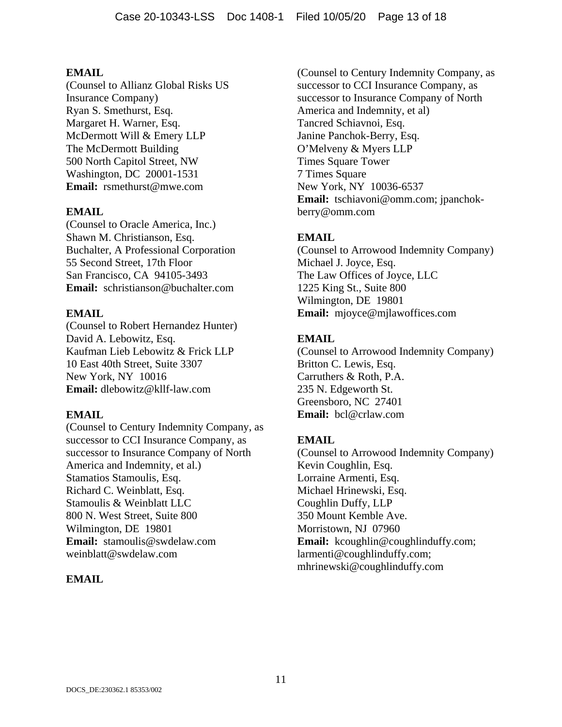(Counsel to Allianz Global Risks US Insurance Company) Ryan S. Smethurst, Esq. Margaret H. Warner, Esq. McDermott Will & Emery LLP The McDermott Building 500 North Capitol Street, NW Washington, DC 20001-1531 **Email:** rsmethurst@mwe.com

## **EMAIL**

(Counsel to Oracle America, Inc.) Shawn M. Christianson, Esq. Buchalter, A Professional Corporation 55 Second Street, 17th Floor San Francisco, CA 94105-3493 **Email:** schristianson@buchalter.com

## **EMAIL**

(Counsel to Robert Hernandez Hunter) David A. Lebowitz, Esq. Kaufman Lieb Lebowitz & Frick LLP 10 East 40th Street, Suite 3307 New York, NY 10016 **Email:** dlebowitz@kllf-law.com

### **EMAIL**

(Counsel to Century Indemnity Company, as successor to CCI Insurance Company, as successor to Insurance Company of North America and Indemnity, et al.) Stamatios Stamoulis, Esq. Richard C. Weinblatt, Esq. Stamoulis & Weinblatt LLC 800 N. West Street, Suite 800 Wilmington, DE 19801 **Email:** stamoulis@swdelaw.com weinblatt@swdelaw.com

# **EMAIL**

(Counsel to Century Indemnity Company, as successor to CCI Insurance Company, as successor to Insurance Company of North America and Indemnity, et al) Tancred Schiavnoi, Esq. Janine Panchok-Berry, Esq. O'Melveny & Myers LLP Times Square Tower 7 Times Square New York, NY 10036-6537 **Email:** tschiavoni@omm.com; jpanchokberry@omm.com

# **EMAIL**

(Counsel to Arrowood Indemnity Company) Michael J. Joyce, Esq. The Law Offices of Joyce, LLC 1225 King St., Suite 800 Wilmington, DE 19801 **Email:** mjoyce@mjlawoffices.com

# **EMAIL**

(Counsel to Arrowood Indemnity Company) Britton C. Lewis, Esq. Carruthers & Roth, P.A. 235 N. Edgeworth St. Greensboro, NC 27401 **Email:** bcl@crlaw.com

# **EMAIL**

(Counsel to Arrowood Indemnity Company) Kevin Coughlin, Esq. Lorraine Armenti, Esq. Michael Hrinewski, Esq. Coughlin Duffy, LLP 350 Mount Kemble Ave. Morristown, NJ 07960 Email: kcoughlin@coughlinduffy.com; larmenti@coughlinduffy.com; mhrinewski@coughlinduffy.com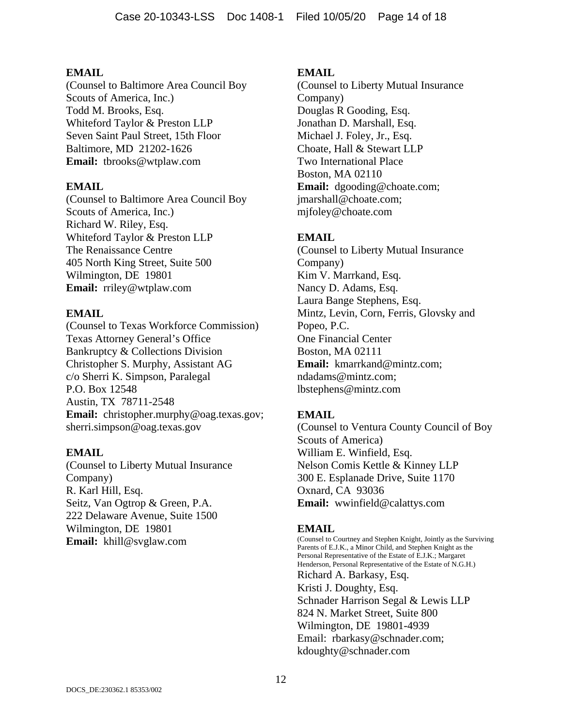(Counsel to Baltimore Area Council Boy Scouts of America, Inc.) Todd M. Brooks, Esq. Whiteford Taylor & Preston LLP Seven Saint Paul Street, 15th Floor Baltimore, MD 21202-1626 **Email:** tbrooks@wtplaw.com

### **EMAIL**

(Counsel to Baltimore Area Council Boy Scouts of America, Inc.) Richard W. Riley, Esq. Whiteford Taylor & Preston LLP The Renaissance Centre 405 North King Street, Suite 500 Wilmington, DE 19801 **Email:** rriley@wtplaw.com

## **EMAIL**

(Counsel to Texas Workforce Commission) Texas Attorney General's Office Bankruptcy & Collections Division Christopher S. Murphy, Assistant AG c/o Sherri K. Simpson, Paralegal P.O. Box 12548 Austin, TX 78711-2548 **Email:** christopher.murphy@oag.texas.gov; sherri.simpson@oag.texas.gov

### **EMAIL**

(Counsel to Liberty Mutual Insurance Company) R. Karl Hill, Esq. Seitz, Van Ogtrop & Green, P.A. 222 Delaware Avenue, Suite 1500 Wilmington, DE 19801 **Email:** khill@svglaw.com

### **EMAIL**

(Counsel to Liberty Mutual Insurance Company) Douglas R Gooding, Esq. Jonathan D. Marshall, Esq. Michael J. Foley, Jr., Esq. Choate, Hall & Stewart LLP Two International Place Boston, MA 02110 **Email:** dgooding@choate.com; jmarshall@choate.com; mjfoley@choate.com

# **EMAIL**

(Counsel to Liberty Mutual Insurance Company) Kim V. Marrkand, Esq. Nancy D. Adams, Esq. Laura Bange Stephens, Esq. Mintz, Levin, Corn, Ferris, Glovsky and Popeo, P.C. One Financial Center Boston, MA 02111 **Email:** kmarrkand@mintz.com; ndadams@mintz.com; lbstephens@mintz.com

### **EMAIL**

(Counsel to Ventura County Council of Boy Scouts of America) William E. Winfield, Esq. Nelson Comis Kettle & Kinney LLP 300 E. Esplanade Drive, Suite 1170 Oxnard, CA 93036 **Email:** wwinfield@calattys.com

# **EMAIL**

(Counsel to Courtney and Stephen Knight, Jointly as the Surviving Parents of E.J.K., a Minor Child, and Stephen Knight as the Personal Representative of the Estate of E.J.K.; Margaret Henderson, Personal Representative of the Estate of N.G.H.) Richard A. Barkasy, Esq. Kristi J. Doughty, Esq. Schnader Harrison Segal & Lewis LLP 824 N. Market Street, Suite 800 Wilmington, DE 19801-4939 Email: rbarkasy@schnader.com; kdoughty@schnader.com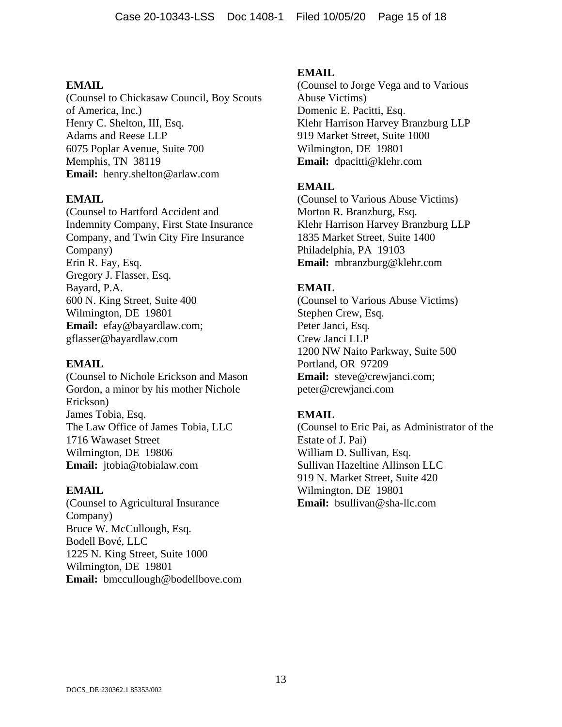(Counsel to Chickasaw Council, Boy Scouts of America, Inc.) Henry C. Shelton, III, Esq. Adams and Reese LLP 6075 Poplar Avenue, Suite 700 Memphis, TN 38119 **Email:** henry.shelton@arlaw.com

#### **EMAIL**

(Counsel to Hartford Accident and Indemnity Company, First State Insurance Company, and Twin City Fire Insurance Company) Erin R. Fay, Esq. Gregory J. Flasser, Esq. Bayard, P.A. 600 N. King Street, Suite 400 Wilmington, DE 19801 **Email:** efay@bayardlaw.com; gflasser@bayardlaw.com

#### **EMAIL**

(Counsel to Nichole Erickson and Mason Gordon, a minor by his mother Nichole Erickson) James Tobia, Esq. The Law Office of James Tobia, LLC 1716 Wawaset Street Wilmington, DE 19806 **Email:** jtobia@tobialaw.com

#### **EMAIL**

(Counsel to Agricultural Insurance Company) Bruce W. McCullough, Esq. Bodell Bové, LLC 1225 N. King Street, Suite 1000 Wilmington, DE 19801 **Email:** bmccullough@bodellbove.com

#### **EMAIL**

(Counsel to Jorge Vega and to Various Abuse Victims) Domenic E. Pacitti, Esq. Klehr Harrison Harvey Branzburg LLP 919 Market Street, Suite 1000 Wilmington, DE 19801 **Email:** dpacitti@klehr.com

### **EMAIL**

(Counsel to Various Abuse Victims) Morton R. Branzburg, Esq. Klehr Harrison Harvey Branzburg LLP 1835 Market Street, Suite 1400 Philadelphia, PA 19103 **Email:** mbranzburg@klehr.com

## **EMAIL**

(Counsel to Various Abuse Victims) Stephen Crew, Esq. Peter Janci, Esq. Crew Janci LLP 1200 NW Naito Parkway, Suite 500 Portland, OR 97209 **Email:** steve@crewjanci.com; peter@crewjanci.com

### **EMAIL**

(Counsel to Eric Pai, as Administrator of the Estate of J. Pai) William D. Sullivan, Esq. Sullivan Hazeltine Allinson LLC 919 N. Market Street, Suite 420 Wilmington, DE 19801 **Email:** bsullivan@sha-llc.com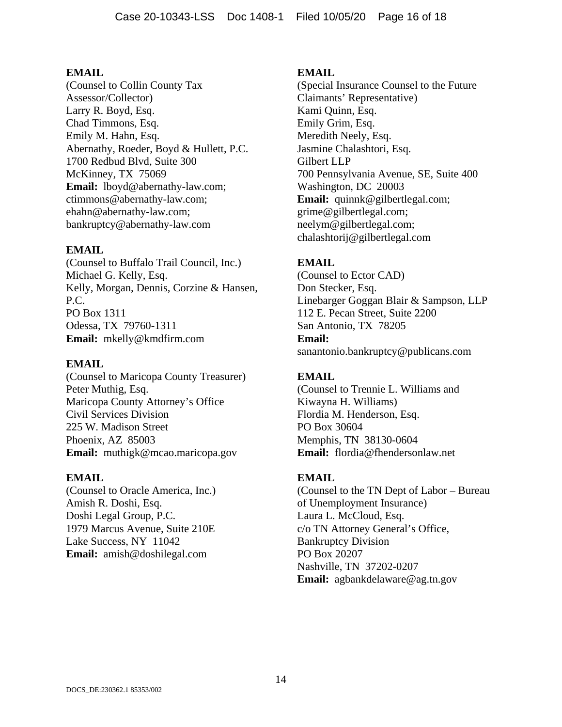(Counsel to Collin County Tax Assessor/Collector) Larry R. Boyd, Esq. Chad Timmons, Esq. Emily M. Hahn, Esq. Abernathy, Roeder, Boyd & Hullett, P.C. 1700 Redbud Blvd, Suite 300 McKinney, TX 75069 **Email:** lboyd@abernathy-law.com; ctimmons@abernathy-law.com; ehahn@abernathy-law.com; bankruptcy@abernathy-law.com

## **EMAIL**

(Counsel to Buffalo Trail Council, Inc.) Michael G. Kelly, Esq. Kelly, Morgan, Dennis, Corzine & Hansen, P.C. PO Box 1311 Odessa, TX 79760-1311 **Email:** mkelly@kmdfirm.com

### **EMAIL**

(Counsel to Maricopa County Treasurer) Peter Muthig, Esq. Maricopa County Attorney's Office Civil Services Division 225 W. Madison Street Phoenix, AZ 85003 **Email:** muthigk@mcao.maricopa.gov

### **EMAIL**

(Counsel to Oracle America, Inc.) Amish R. Doshi, Esq. Doshi Legal Group, P.C. 1979 Marcus Avenue, Suite 210E Lake Success, NY 11042 **Email:** amish@doshilegal.com

## **EMAIL**

(Special Insurance Counsel to the Future Claimants' Representative) Kami Quinn, Esq. Emily Grim, Esq. Meredith Neely, Esq. Jasmine Chalashtori, Esq. Gilbert LLP 700 Pennsylvania Avenue, SE, Suite 400 Washington, DC 20003 **Email:** quinnk@gilbertlegal.com; grime@gilbertlegal.com; neelym@gilbertlegal.com; chalashtorij@gilbertlegal.com

# **EMAIL**

(Counsel to Ector CAD) Don Stecker, Esq. Linebarger Goggan Blair & Sampson, LLP 112 E. Pecan Street, Suite 2200 San Antonio, TX 78205 **Email:** sanantonio.bankruptcy@publicans.com

# **EMAIL**

(Counsel to Trennie L. Williams and Kiwayna H. Williams) Flordia M. Henderson, Esq. PO Box 30604 Memphis, TN 38130-0604 **Email:** flordia@fhendersonlaw.net

# **EMAIL**

(Counsel to the TN Dept of Labor – Bureau of Unemployment Insurance) Laura L. McCloud, Esq. c/o TN Attorney General's Office, Bankruptcy Division PO Box 20207 Nashville, TN 37202-0207 **Email:** agbankdelaware@ag.tn.gov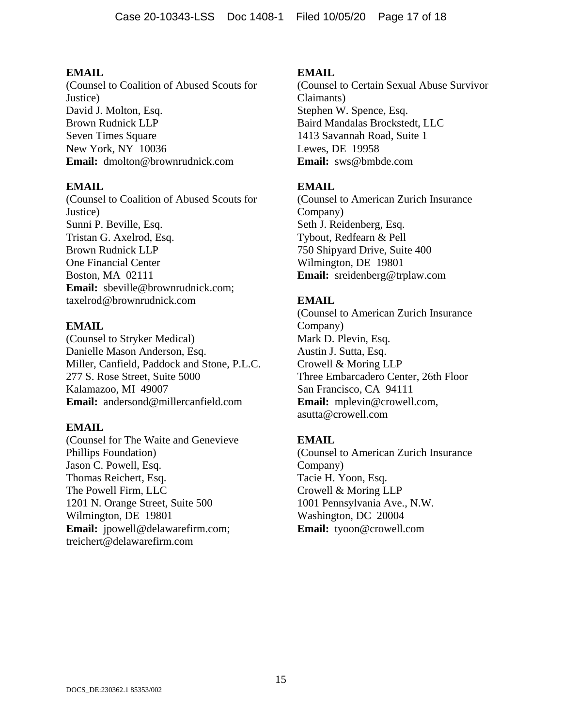(Counsel to Coalition of Abused Scouts for Justice) David J. Molton, Esq. Brown Rudnick LLP Seven Times Square New York, NY 10036 **Email:** dmolton@brownrudnick.com

## **EMAIL**

(Counsel to Coalition of Abused Scouts for Justice) Sunni P. Beville, Esq. Tristan G. Axelrod, Esq. Brown Rudnick LLP One Financial Center Boston, MA 02111 **Email:** sbeville@brownrudnick.com; taxelrod@brownrudnick.com

## **EMAIL**

(Counsel to Stryker Medical) Danielle Mason Anderson, Esq. Miller, Canfield, Paddock and Stone, P.L.C. 277 S. Rose Street, Suite 5000 Kalamazoo, MI 49007 **Email:** andersond@millercanfield.com

### **EMAIL**

(Counsel for The Waite and Genevieve Phillips Foundation) Jason C. Powell, Esq. Thomas Reichert, Esq. The Powell Firm, LLC 1201 N. Orange Street, Suite 500 Wilmington, DE 19801 **Email:** jpowell@delawarefirm.com; treichert@delawarefirm.com

## **EMAIL**

(Counsel to Certain Sexual Abuse Survivor Claimants) Stephen W. Spence, Esq. Baird Mandalas Brockstedt, LLC 1413 Savannah Road, Suite 1 Lewes, DE 19958 **Email:** sws@bmbde.com

## **EMAIL**

(Counsel to American Zurich Insurance Company) Seth J. Reidenberg, Esq. Tybout, Redfearn & Pell 750 Shipyard Drive, Suite 400 Wilmington, DE 19801 **Email:** sreidenberg@trplaw.com

# **EMAIL**

(Counsel to American Zurich Insurance Company) Mark D. Plevin, Esq. Austin J. Sutta, Esq. Crowell & Moring LLP Three Embarcadero Center, 26th Floor San Francisco, CA 94111 **Email:** mplevin@crowell.com, asutta@crowell.com

# **EMAIL**

(Counsel to American Zurich Insurance Company) Tacie H. Yoon, Esq. Crowell & Moring LLP 1001 Pennsylvania Ave., N.W. Washington, DC 20004 **Email:** tyoon@crowell.com